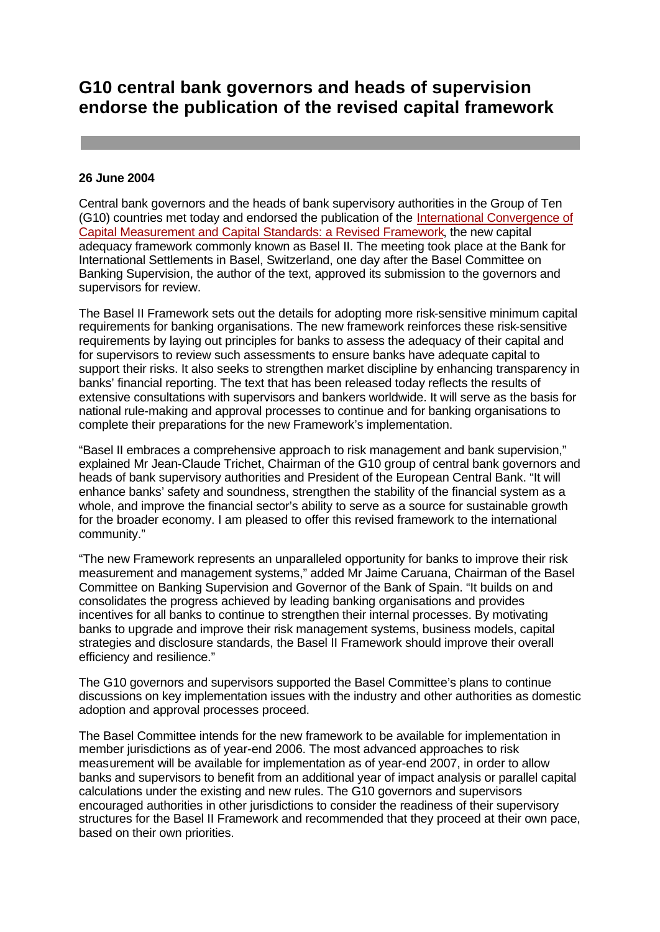# **G10 central bank governors and heads of supervision endorse the publication of the revised capital framework**

### **26 June 2004**

Central bank governors and the heads of bank supervisory authorities in the Group of Ten (G10) countries met today and endorsed the publication of the International Convergence of Capital Measurement and Capital Standards: a Revised Framework, the new capital adequacy framework commonly known as Basel II. The meeting took place at the Bank for International Settlements in Basel, Switzerland, one day after the Basel Committee on Banking Supervision, the author of the text, approved its submission to the governors and supervisors for review.

The Basel II Framework sets out the details for adopting more risk-sensitive minimum capital requirements for banking organisations. The new framework reinforces these risk-sensitive requirements by laying out principles for banks to assess the adequacy of their capital and for supervisors to review such assessments to ensure banks have adequate capital to support their risks. It also seeks to strengthen market discipline by enhancing transparency in banks' financial reporting. The text that has been released today reflects the results of extensive consultations with supervisors and bankers worldwide. It will serve as the basis for national rule-making and approval processes to continue and for banking organisations to complete their preparations for the new Framework's implementation.

"Basel II embraces a comprehensive approach to risk management and bank supervision," explained Mr Jean-Claude Trichet, Chairman of the G10 group of central bank governors and heads of bank supervisory authorities and President of the European Central Bank. "It will enhance banks' safety and soundness, strengthen the stability of the financial system as a whole, and improve the financial sector's ability to serve as a source for sustainable growth for the broader economy. I am pleased to offer this revised framework to the international community."

"The new Framework represents an unparalleled opportunity for banks to improve their risk measurement and management systems," added Mr Jaime Caruana, Chairman of the Basel Committee on Banking Supervision and Governor of the Bank of Spain. "It builds on and consolidates the progress achieved by leading banking organisations and provides incentives for all banks to continue to strengthen their internal processes. By motivating banks to upgrade and improve their risk management systems, business models, capital strategies and disclosure standards, the Basel II Framework should improve their overall efficiency and resilience."

The G10 governors and supervisors supported the Basel Committee's plans to continue discussions on key implementation issues with the industry and other authorities as domestic adoption and approval processes proceed.

The Basel Committee intends for the new framework to be available for implementation in member jurisdictions as of year-end 2006. The most advanced approaches to risk measurement will be available for implementation as of year-end 2007, in order to allow banks and supervisors to benefit from an additional year of impact analysis or parallel capital calculations under the existing and new rules. The G10 governors and supervisors encouraged authorities in other jurisdictions to consider the readiness of their supervisory structures for the Basel II Framework and recommended that they proceed at their own pace, based on their own priorities.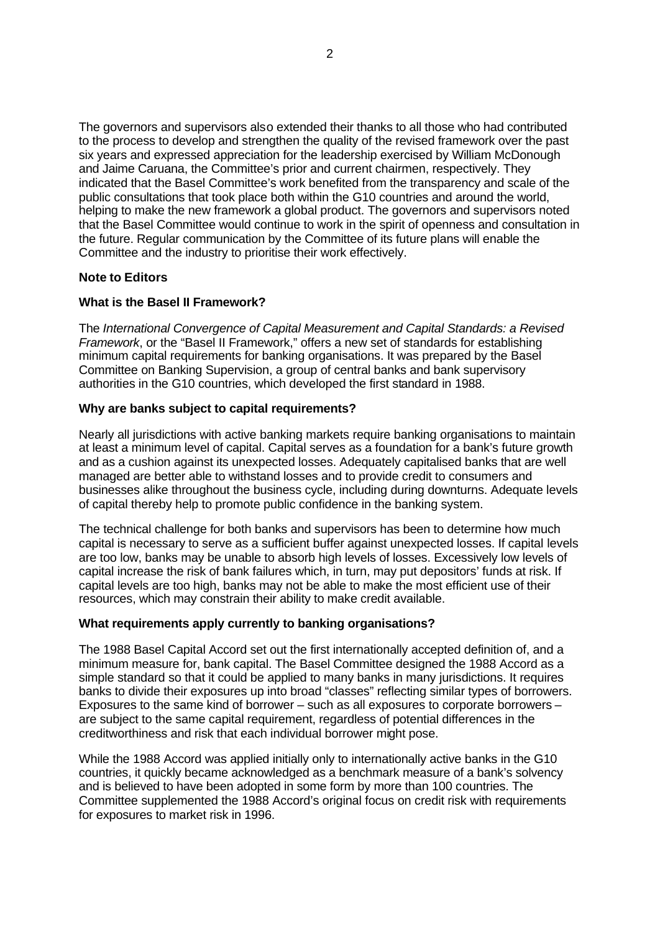The governors and supervisors also extended their thanks to all those who had contributed to the process to develop and strengthen the quality of the revised framework over the past six years and expressed appreciation for the leadership exercised by William McDonough and Jaime Caruana, the Committee's prior and current chairmen, respectively. They indicated that the Basel Committee's work benefited from the transparency and scale of the public consultations that took place both within the G10 countries and around the world, helping to make the new framework a global product. The governors and supervisors noted that the Basel Committee would continue to work in the spirit of openness and consultation in the future. Regular communication by the Committee of its future plans will enable the Committee and the industry to prioritise their work effectively.

# **Note to Editors**

### **What is the Basel II Framework?**

The *International Convergence of Capital Measurement and Capital Standards: a Revised Framework*, or the "Basel II Framework," offers a new set of standards for establishing minimum capital requirements for banking organisations. It was prepared by the Basel Committee on Banking Supervision, a group of central banks and bank supervisory authorities in the G10 countries, which developed the first standard in 1988.

### **Why are banks subject to capital requirements?**

Nearly all jurisdictions with active banking markets require banking organisations to maintain at least a minimum level of capital. Capital serves as a foundation for a bank's future growth and as a cushion against its unexpected losses. Adequately capitalised banks that are well managed are better able to withstand losses and to provide credit to consumers and businesses alike throughout the business cycle, including during downturns. Adequate levels of capital thereby help to promote public confidence in the banking system.

The technical challenge for both banks and supervisors has been to determine how much capital is necessary to serve as a sufficient buffer against unexpected losses. If capital levels are too low, banks may be unable to absorb high levels of losses. Excessively low levels of capital increase the risk of bank failures which, in turn, may put depositors' funds at risk. If capital levels are too high, banks may not be able to make the most efficient use of their resources, which may constrain their ability to make credit available.

#### **What requirements apply currently to banking organisations?**

The 1988 Basel Capital Accord set out the first internationally accepted definition of, and a minimum measure for, bank capital. The Basel Committee designed the 1988 Accord as a simple standard so that it could be applied to many banks in many jurisdictions. It requires banks to divide their exposures up into broad "classes" reflecting similar types of borrowers. Exposures to the same kind of borrower – such as all exposures to corporate borrowers – are subject to the same capital requirement, regardless of potential differences in the creditworthiness and risk that each individual borrower might pose.

While the 1988 Accord was applied initially only to internationally active banks in the G10 countries, it quickly became acknowledged as a benchmark measure of a bank's solvency and is believed to have been adopted in some form by more than 100 countries. The Committee supplemented the 1988 Accord's original focus on credit risk with requirements for exposures to market risk in 1996.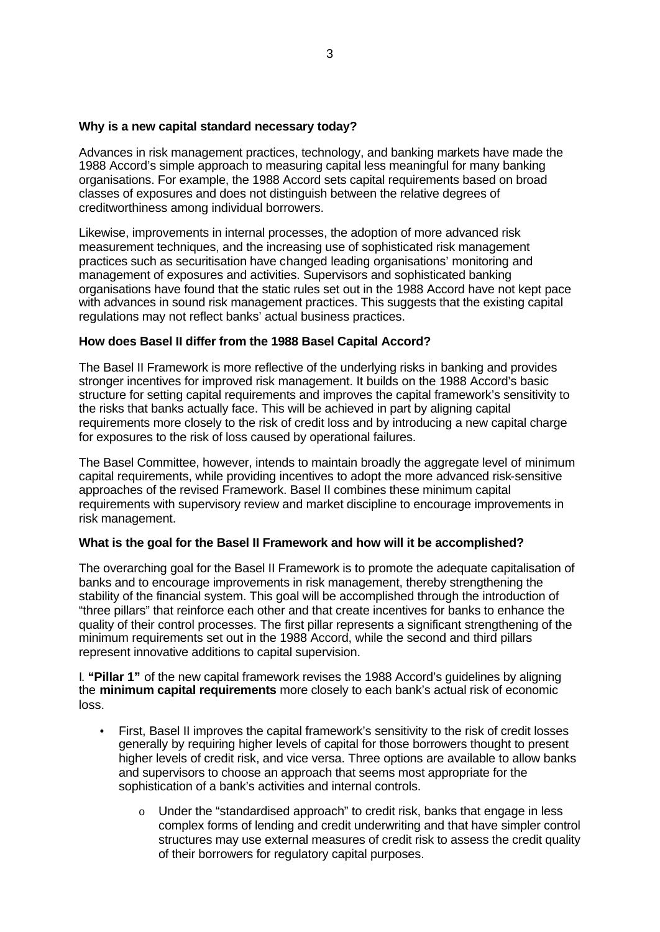### **Why is a new capital standard necessary today?**

Advances in risk management practices, technology, and banking markets have made the 1988 Accord's simple approach to measuring capital less meaningful for many banking organisations. For example, the 1988 Accord sets capital requirements based on broad classes of exposures and does not distinguish between the relative degrees of creditworthiness among individual borrowers.

Likewise, improvements in internal processes, the adoption of more advanced risk measurement techniques, and the increasing use of sophisticated risk management practices such as securitisation have changed leading organisations' monitoring and management of exposures and activities. Supervisors and sophisticated banking organisations have found that the static rules set out in the 1988 Accord have not kept pace with advances in sound risk management practices. This suggests that the existing capital regulations may not reflect banks' actual business practices.

### **How does Basel II differ from the 1988 Basel Capital Accord?**

The Basel II Framework is more reflective of the underlying risks in banking and provides stronger incentives for improved risk management. It builds on the 1988 Accord's basic structure for setting capital requirements and improves the capital framework's sensitivity to the risks that banks actually face. This will be achieved in part by aligning capital requirements more closely to the risk of credit loss and by introducing a new capital charge for exposures to the risk of loss caused by operational failures.

The Basel Committee, however, intends to maintain broadly the aggregate level of minimum capital requirements, while providing incentives to adopt the more advanced risk-sensitive approaches of the revised Framework. Basel II combines these minimum capital requirements with supervisory review and market discipline to encourage improvements in risk management.

# **What is the goal for the Basel II Framework and how will it be accomplished?**

The overarching goal for the Basel II Framework is to promote the adequate capitalisation of banks and to encourage improvements in risk management, thereby strengthening the stability of the financial system. This goal will be accomplished through the introduction of "three pillars" that reinforce each other and that create incentives for banks to enhance the quality of their control processes. The first pillar represents a significant strengthening of the minimum requirements set out in the 1988 Accord, while the second and third pillars represent innovative additions to capital supervision.

I. **"Pillar 1"** of the new capital framework revises the 1988 Accord's guidelines by aligning the **minimum capital requirements** more closely to each bank's actual risk of economic loss.

- First, Basel II improves the capital framework's sensitivity to the risk of credit losses generally by requiring higher levels of capital for those borrowers thought to present higher levels of credit risk, and vice versa. Three options are available to allow banks and supervisors to choose an approach that seems most appropriate for the sophistication of a bank's activities and internal controls.
	- $\circ$  Under the "standardised approach" to credit risk, banks that engage in less complex forms of lending and credit underwriting and that have simpler control structures may use external measures of credit risk to assess the credit quality of their borrowers for regulatory capital purposes.